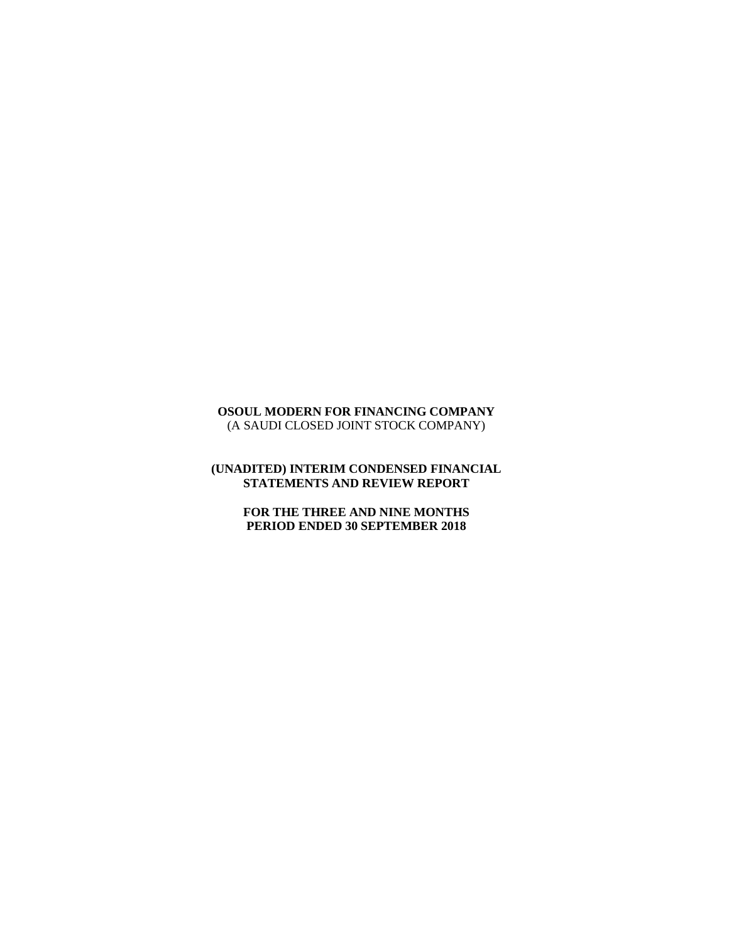# **OSOUL MODERN FOR FINANCING COMPANY** (A SAUDI CLOSED JOINT STOCK COMPANY)

# **(UNADITED) INTERIM CONDENSED FINANCIAL STATEMENTS AND REVIEW REPORT**

# **FOR THE THREE AND NINE MONTHS PERIOD ENDED 30 SEPTEMBER 2018**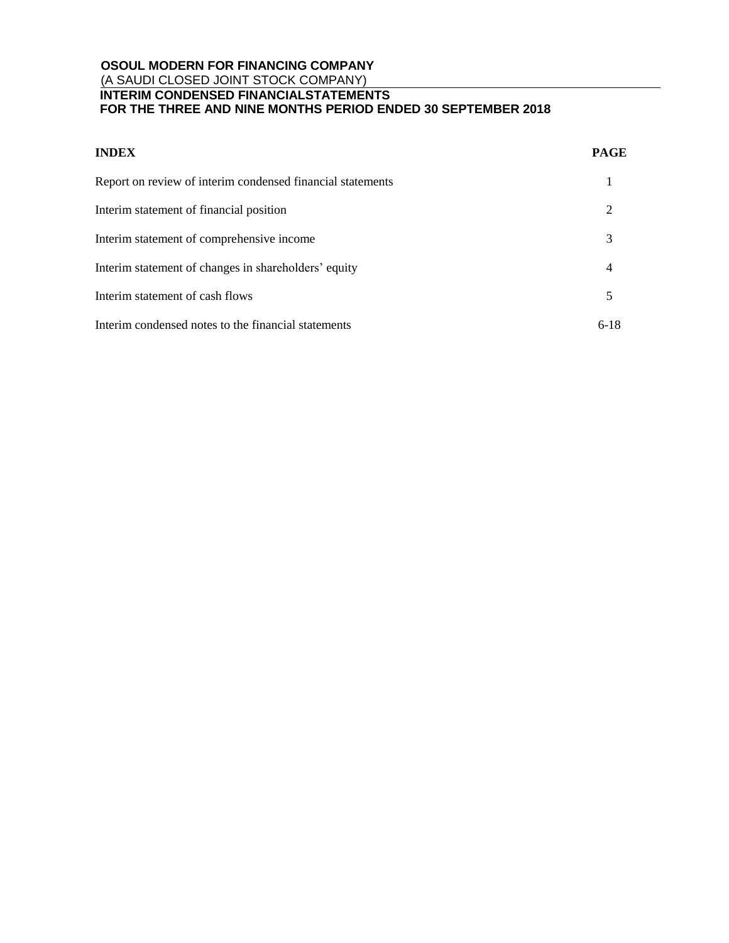| <b>INDEX</b>                                               | <b>PAGE</b> |
|------------------------------------------------------------|-------------|
| Report on review of interim condensed financial statements |             |
| Interim statement of financial position                    | 2           |
| Interim statement of comprehensive income                  | 3           |
| Interim statement of changes in shareholders' equity       | 4           |
| Interim statement of cash flows                            | 5           |
| Interim condensed notes to the financial statements        | $6-18$      |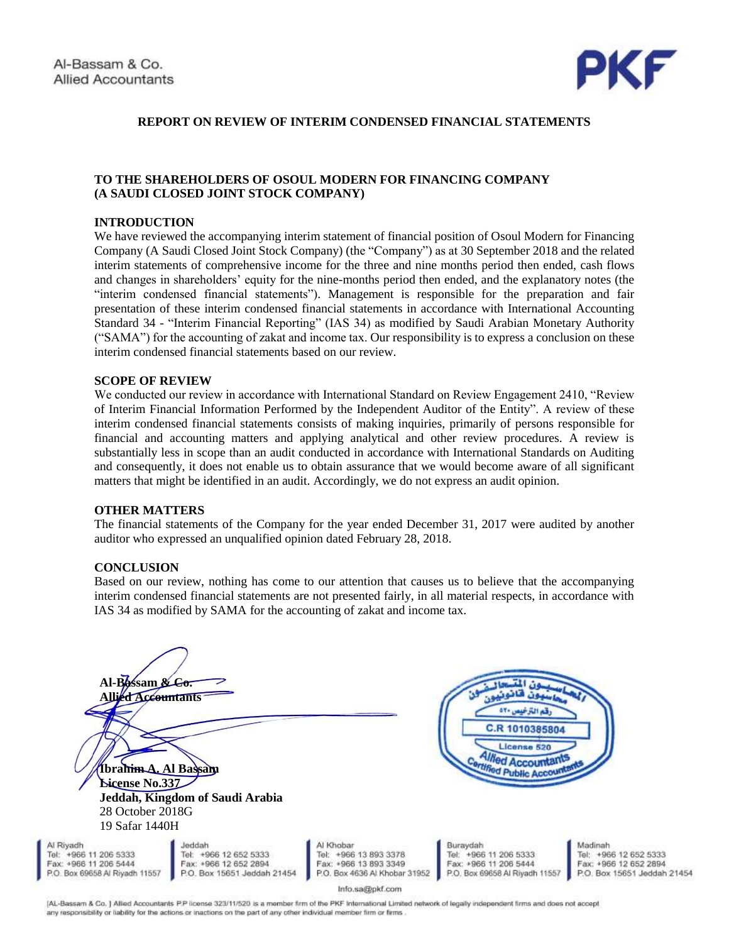

# **REPORT ON REVIEW OF INTERIM CONDENSED FINANCIAL STATEMENTS**

### **TO THE SHAREHOLDERS OF OSOUL MODERN FOR FINANCING COMPANY (A SAUDI CLOSED JOINT STOCK COMPANY)**

#### **INTRODUCTION**

We have reviewed the accompanying interim statement of financial position of Osoul Modern for Financing Company (A Saudi Closed Joint Stock Company) (the "Company") as at 30 September 2018 and the related interim statements of comprehensive income for the three and nine months period then ended, cash flows and changes in shareholders' equity for the nine-months period then ended, and the explanatory notes (the "interim condensed financial statements"). Management is responsible for the preparation and fair presentation of these interim condensed financial statements in accordance with International Accounting Standard 34 - "Interim Financial Reporting" (IAS 34) as modified by Saudi Arabian Monetary Authority ("SAMA") for the accounting of zakat and income tax. Our responsibility is to express a conclusion on these interim condensed financial statements based on our review.

#### **SCOPE OF REVIEW**

We conducted our review in accordance with International Standard on Review Engagement 2410, "Review of Interim Financial Information Performed by the Independent Auditor of the Entity". A review of these interim condensed financial statements consists of making inquiries, primarily of persons responsible for financial and accounting matters and applying analytical and other review procedures. A review is substantially less in scope than an audit conducted in accordance with International Standards on Auditing and consequently, it does not enable us to obtain assurance that we would become aware of all significant matters that might be identified in an audit. Accordingly, we do not express an audit opinion.

### **OTHER MATTERS**

The financial statements of the Company for the year ended December 31, 2017 were audited by another auditor who expressed an unqualified opinion dated February 28, 2018.

#### **CONCLUSION**

AI1 Tel Fa: P.C

Based on our review, nothing has come to our attention that causes us to believe that the accompanying interim condensed financial statements are not presented fairly, in all material respects, in accordance with IAS 34 as modified by SAMA for the accounting of zakat and income tax.

| Al-Bassam & Co.<br><b>Allied Accountants</b><br>Ibrahim A. Al Bassam<br><b>License No.337</b><br>28 October 2018G<br>19 Safar 1440H | Jeddah, Kingdom of Saudi Arabia                                                         |                                                                                              | رقم الترخيص ٢٠٥<br>C.R 1010385804<br>License 520<br><i><u><b>Illed Accountant</b></u></i><br><b>Hifked Public Accounts</b> |                                                                                          |
|-------------------------------------------------------------------------------------------------------------------------------------|-----------------------------------------------------------------------------------------|----------------------------------------------------------------------------------------------|----------------------------------------------------------------------------------------------------------------------------|------------------------------------------------------------------------------------------|
| diyadh<br>+966 11 206 5333<br>$c$ +966 11 206 5444<br>Box 69658 Al Riyadh 11557                                                     | Jeddah<br>Tel: +966 12 652 5333<br>Fax: +966 12 652 2894<br>P.O. Box 15651 Jeddah 21454 | Al Khobar<br>Tel: +966 13 893 3378<br>Fax: +966 13 893 3349<br>P.O. Box 4636 Al Khobar 31952 | Buraydah<br>Tel: +966 11 206 5333<br>Fax: +966 11 206 5444<br>P.O. Box 69658 Al Riyadh 11557                               | Madinah<br>Tel: +966 12 652 5333<br>Fax: +966 12 652 2894<br>P.O. Box 15651 Jeddah 21454 |
|                                                                                                                                     |                                                                                         | Info.sa@pkf.com                                                                              |                                                                                                                            |                                                                                          |

[AL-Bassam & Co. ] Allied Accountants P.P license 323/11/520 is a member firm of the PKF International Limited network of legally independent firms and does not accept any responsibility or liability for the actions or inactions on the part of any other individual member firm or firms.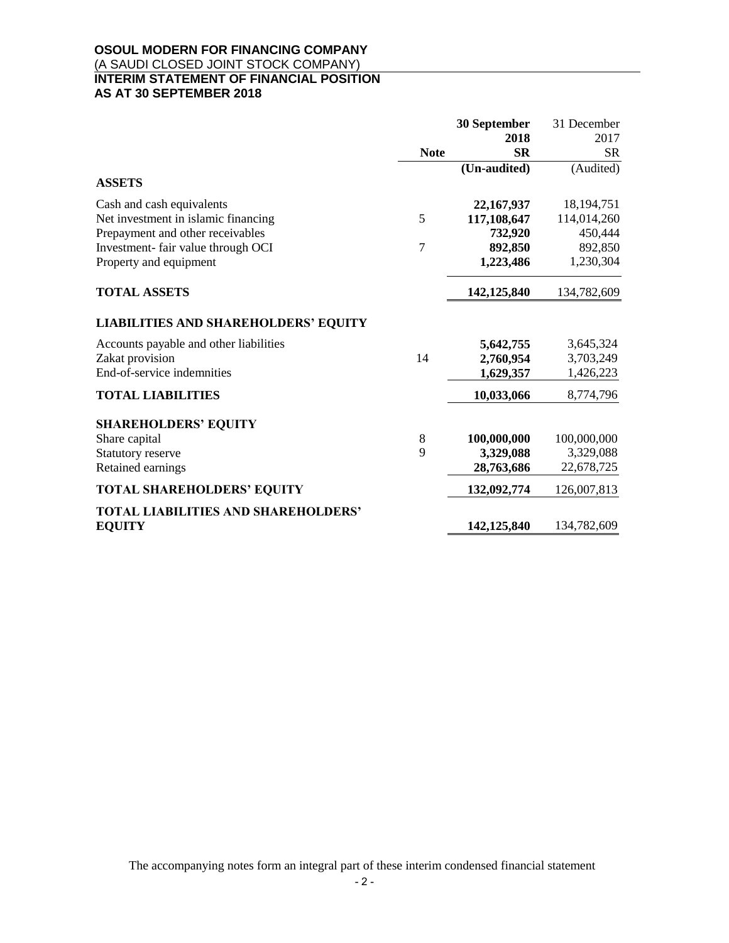# **OSOUL MODERN FOR FINANCING COMPANY** (A SAUDI CLOSED JOINT STOCK COMPANY) **INTERIM STATEMENT OF FINANCIAL POSITION AS AT 30 SEPTEMBER 2018**

|                                             |             | 30 September | 31 December  |
|---------------------------------------------|-------------|--------------|--------------|
|                                             |             | 2018         | 2017         |
|                                             | <b>Note</b> | <b>SR</b>    | <b>SR</b>    |
|                                             |             | (Un-audited) | (Audited)    |
| <b>ASSETS</b>                               |             |              |              |
| Cash and cash equivalents                   |             | 22,167,937   | 18, 194, 751 |
| Net investment in islamic financing         | 5           | 117,108,647  | 114,014,260  |
| Prepayment and other receivables            |             | 732,920      | 450,444      |
| Investment-fair value through OCI           | 7           | 892,850      | 892,850      |
| Property and equipment                      |             | 1,223,486    | 1,230,304    |
| <b>TOTAL ASSETS</b>                         |             | 142,125,840  | 134,782,609  |
| <b>LIABILITIES AND SHAREHOLDERS' EQUITY</b> |             |              |              |
| Accounts payable and other liabilities      |             | 5,642,755    | 3,645,324    |
| Zakat provision                             | 14          | 2,760,954    | 3,703,249    |
| End-of-service indemnities                  |             | 1,629,357    | 1,426,223    |
| <b>TOTAL LIABILITIES</b>                    |             | 10,033,066   | 8,774,796    |
| <b>SHAREHOLDERS' EQUITY</b>                 |             |              |              |
| Share capital                               | 8           | 100,000,000  | 100,000,000  |
| Statutory reserve                           | 9           | 3,329,088    | 3,329,088    |
| Retained earnings                           |             | 28,763,686   | 22,678,725   |
| <b>TOTAL SHAREHOLDERS' EQUITY</b>           |             | 132,092,774  | 126,007,813  |
| <b>TOTAL LIABILITIES AND SHAREHOLDERS'</b>  |             |              |              |
| <b>EQUITY</b>                               |             | 142,125,840  | 134,782,609  |

The accompanying notes form an integral part of these interim condensed financial statement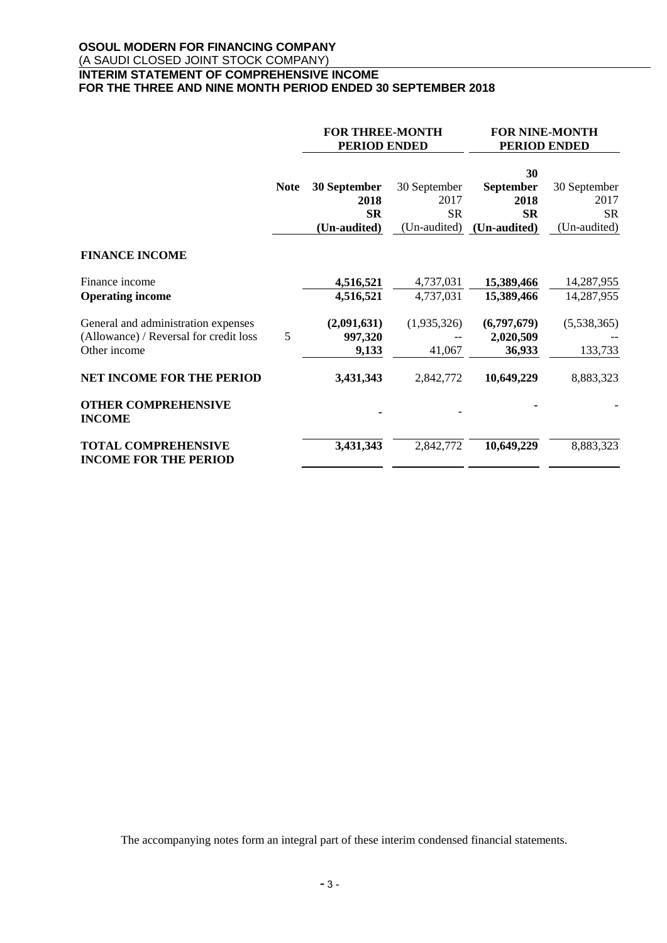# **OSOUL MODERN FOR FINANCING COMPANY** (A SAUDI CLOSED JOINT STOCK COMPANY) **INTERIM STATEMENT OF COMPREHENSIVE INCOME FOR THE THREE AND NINE MONTH PERIOD ENDED 30 SEPTEMBER 2018**

|                                                            |             | <b>FOR THREE-MONTH</b><br><b>PERIOD ENDED</b> |                   |                   | <b>FOR NINE-MONTH</b><br><b>PERIOD ENDED</b> |  |
|------------------------------------------------------------|-------------|-----------------------------------------------|-------------------|-------------------|----------------------------------------------|--|
|                                                            |             |                                               |                   | 30                |                                              |  |
|                                                            | <b>Note</b> | 30 September                                  | 30 September      | <b>September</b>  | 30 September                                 |  |
|                                                            |             | 2018<br><b>SR</b>                             | 2017<br><b>SR</b> | 2018<br><b>SR</b> | 2017<br><b>SR</b>                            |  |
|                                                            |             | (Un-audited)                                  | (Un-audited)      | (Un-audited)      | (Un-audited)                                 |  |
| <b>FINANCE INCOME</b>                                      |             |                                               |                   |                   |                                              |  |
| Finance income                                             |             | 4,516,521                                     | 4,737,031         | 15,389,466        | 14,287,955                                   |  |
| <b>Operating income</b>                                    |             | 4,516,521                                     | 4,737,031         | 15,389,466        | 14,287,955                                   |  |
| General and administration expenses                        |             | (2,091,631)                                   | (1,935,326)       | (6,797,679)       | (5,538,365)                                  |  |
| (Allowance) / Reversal for credit loss                     | 5           | 997,320                                       |                   | 2,020,509         |                                              |  |
| Other income                                               |             | 9,133                                         | 41,067            | 36,933            | 133,733                                      |  |
| <b>NET INCOME FOR THE PERIOD</b>                           |             | 3,431,343                                     | 2,842,772         | 10,649,229        | 8,883,323                                    |  |
| <b>OTHER COMPREHENSIVE</b><br><b>INCOME</b>                |             |                                               |                   |                   |                                              |  |
| <b>TOTAL COMPREHENSIVE</b><br><b>INCOME FOR THE PERIOD</b> |             | 3,431,343                                     | 2,842,772         | 10,649,229        | 8,883,323                                    |  |

The accompanying notes form an integral part of these interim condensed financial statements.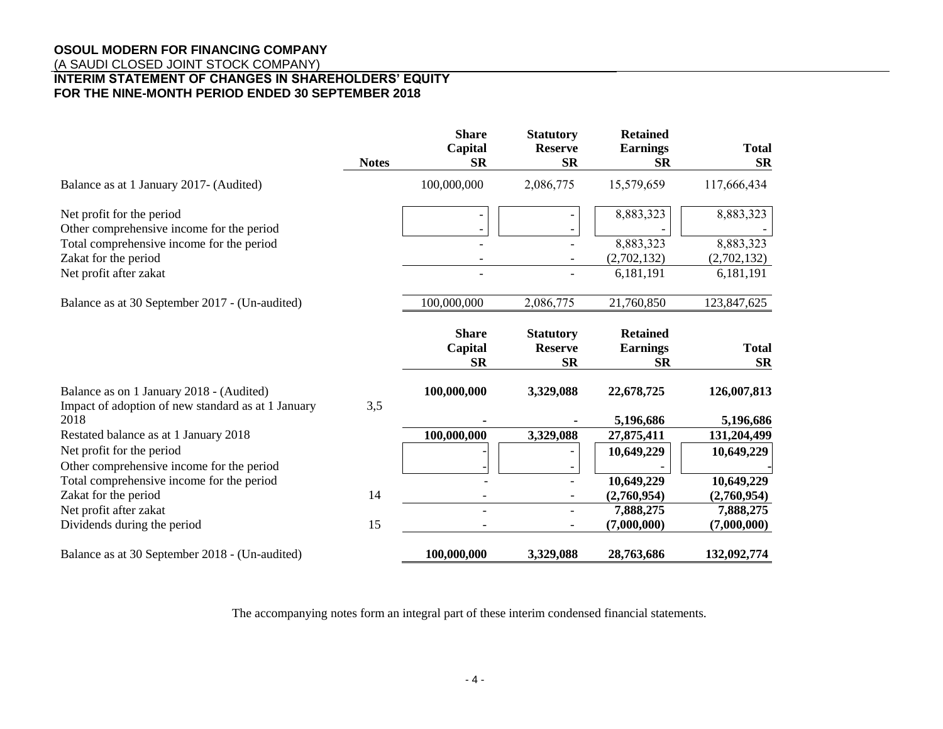# **OSOUL MODERN FOR FINANCING COMPANY**

(A SAUDI CLOSED JOINT STOCK COMPANY)

# **INTERIM STATEMENT OF CHANGES IN SHAREHOLDERS' EQUITY FOR THE NINE-MONTH PERIOD ENDED 30 SEPTEMBER 2018**

|                                                                                                | <b>Notes</b> | <b>Share</b><br>Capital<br><b>SR</b> | <b>Statutory</b><br><b>Reserve</b><br><b>SR</b> | <b>Retained</b><br><b>Earnings</b><br><b>SR</b> | <b>Total</b><br><b>SR</b> |
|------------------------------------------------------------------------------------------------|--------------|--------------------------------------|-------------------------------------------------|-------------------------------------------------|---------------------------|
| Balance as at 1 January 2017- (Audited)                                                        |              | 100,000,000                          | 2,086,775                                       | 15,579,659                                      | 117,666,434               |
| Net profit for the period<br>Other comprehensive income for the period                         |              |                                      |                                                 | 8,883,323                                       | 8,883,323                 |
| Total comprehensive income for the period                                                      |              |                                      |                                                 | 8,883,323                                       | 8,883,323                 |
| Zakat for the period                                                                           |              |                                      |                                                 | (2,702,132)                                     | (2,702,132)               |
| Net profit after zakat                                                                         |              |                                      |                                                 | 6,181,191                                       | 6,181,191                 |
| Balance as at 30 September 2017 - (Un-audited)                                                 |              | 100,000,000                          | 2,086,775                                       | 21,760,850                                      | 123,847,625               |
|                                                                                                |              | <b>Share</b><br>Capital<br><b>SR</b> | <b>Statutory</b><br><b>Reserve</b><br><b>SR</b> | <b>Retained</b><br><b>Earnings</b><br><b>SR</b> | <b>Total</b><br><b>SR</b> |
| Balance as on 1 January 2018 - (Audited)<br>Impact of adoption of new standard as at 1 January | 3,5          | 100,000,000                          | 3,329,088                                       | 22,678,725                                      | 126,007,813               |
| 2018                                                                                           |              |                                      |                                                 | 5,196,686                                       | 5,196,686                 |
| Restated balance as at 1 January 2018                                                          |              | 100,000,000                          | 3,329,088                                       | 27,875,411                                      | 131,204,499               |
| Net profit for the period<br>Other comprehensive income for the period                         |              |                                      |                                                 | 10,649,229                                      | 10,649,229                |
| Total comprehensive income for the period                                                      |              |                                      |                                                 | 10,649,229                                      | 10,649,229                |
| Zakat for the period                                                                           | 14           |                                      |                                                 | (2,760,954)                                     | (2,760,954)               |
| Net profit after zakat                                                                         |              |                                      |                                                 | 7,888,275                                       | 7,888,275                 |
| Dividends during the period                                                                    | 15           |                                      |                                                 | (7,000,000)                                     | (7,000,000)               |
| Balance as at 30 September 2018 - (Un-audited)                                                 |              | 100,000,000                          | 3,329,088                                       | 28,763,686                                      | 132,092,774               |

The accompanying notes form an integral part of these interim condensed financial statements.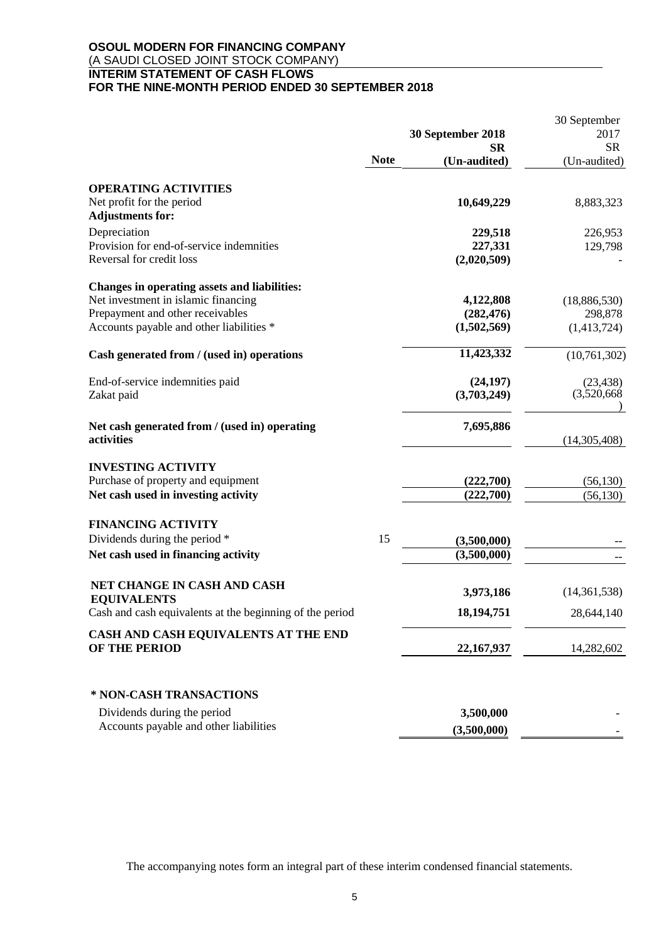# **OSOUL MODERN FOR FINANCING COMPANY** (A SAUDI CLOSED JOINT STOCK COMPANY) **INTERIM STATEMENT OF CASH FLOWS FOR THE NINE-MONTH PERIOD ENDED 30 SEPTEMBER 2018**

|                                                                                |             | 30 September 2018      | 30 September<br>2017 |  |
|--------------------------------------------------------------------------------|-------------|------------------------|----------------------|--|
|                                                                                |             | SR                     | <b>SR</b>            |  |
|                                                                                | <b>Note</b> | (Un-audited)           | (Un-audited)         |  |
| <b>OPERATING ACTIVITIES</b>                                                    |             |                        |                      |  |
| Net profit for the period<br><b>Adjustments for:</b>                           |             | 10,649,229             | 8,883,323            |  |
| Depreciation                                                                   |             | 229,518                | 226,953              |  |
| Provision for end-of-service indemnities<br>Reversal for credit loss           |             | 227,331<br>(2,020,509) | 129,798              |  |
| Changes in operating assets and liabilities:                                   |             |                        |                      |  |
| Net investment in islamic financing                                            |             | 4,122,808              | (18,886,530)         |  |
| Prepayment and other receivables                                               |             | (282, 476)             | 298,878              |  |
| Accounts payable and other liabilities *                                       |             | (1,502,569)            | (1,413,724)          |  |
| Cash generated from / (used in) operations                                     |             | 11,423,332             | (10, 761, 302)       |  |
| End-of-service indemnities paid                                                |             | (24, 197)              | (23, 438)            |  |
| Zakat paid                                                                     |             | (3,703,249)            | (3,520,668)          |  |
| Net cash generated from / (used in) operating<br>activities                    |             | 7,695,886              | (14,305,408)         |  |
| <b>INVESTING ACTIVITY</b>                                                      |             |                        |                      |  |
| Purchase of property and equipment                                             |             | (222,700)              | (56, 130)            |  |
| Net cash used in investing activity                                            |             | (222,700)              | (56, 130)            |  |
| <b>FINANCING ACTIVITY</b>                                                      |             |                        |                      |  |
| Dividends during the period *                                                  | 15          | (3,500,000)            |                      |  |
| Net cash used in financing activity                                            |             | (3,500,000)            |                      |  |
| NET CHANGE IN CASH AND CASH                                                    |             | 3,973,186              | (14,361,538)         |  |
| <b>EQUIVALENTS</b><br>Cash and cash equivalents at the beginning of the period |             | 18,194,751             | 28,644,140           |  |
| CASH AND CASH EQUIVALENTS AT THE END                                           |             |                        |                      |  |
| OF THE PERIOD                                                                  |             | 22,167,937             | 14,282,602           |  |
| * NON-CASH TRANSACTIONS                                                        |             |                        |                      |  |
| Dividends during the period                                                    |             | 3,500,000              |                      |  |
| Accounts payable and other liabilities                                         |             | (3,500,000)            |                      |  |

The accompanying notes form an integral part of these interim condensed financial statements.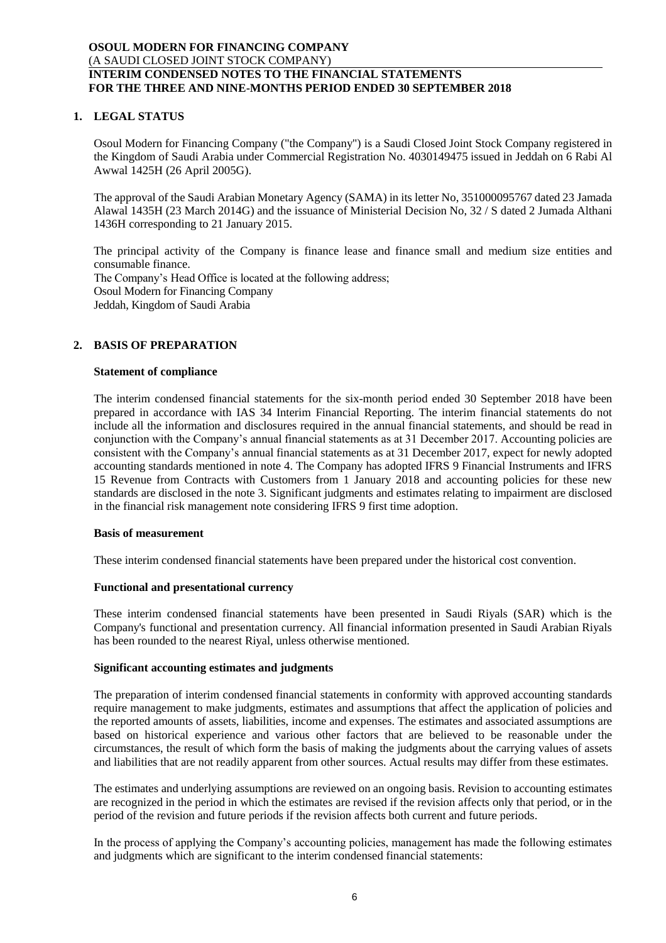# **1. LEGAL STATUS**

Osoul Modern for Financing Company ("the Company") is a Saudi Closed Joint Stock Company registered in the Kingdom of Saudi Arabia under Commercial Registration No. 4030149475 issued in Jeddah on 6 Rabi Al Awwal 1425H (26 April 2005G).

The approval of the Saudi Arabian Monetary Agency (SAMA) in its letter No, 351000095767 dated 23 Jamada Alawal 1435H (23 March 2014G) and the issuance of Ministerial Decision No, 32 / S dated 2 Jumada Althani 1436H corresponding to 21 January 2015.

The principal activity of the Company is finance lease and finance small and medium size entities and consumable finance. The Company's Head Office is located at the following address; Osoul Modern for Financing Company Jeddah, Kingdom of Saudi Arabia

# **2. BASIS OF PREPARATION**

### **Statement of compliance**

The interim condensed financial statements for the six-month period ended 30 September 2018 have been prepared in accordance with IAS 34 Interim Financial Reporting. The interim financial statements do not include all the information and disclosures required in the annual financial statements, and should be read in conjunction with the Company's annual financial statements as at 31 December 2017. Accounting policies are consistent with the Company's annual financial statements as at 31 December 2017, expect for newly adopted accounting standards mentioned in note 4. The Company has adopted IFRS 9 Financial Instruments and IFRS 15 Revenue from Contracts with Customers from 1 January 2018 and accounting policies for these new standards are disclosed in the note 3. Significant judgments and estimates relating to impairment are disclosed in the financial risk management note considering IFRS 9 first time adoption.

#### **Basis of measurement**

These interim condensed financial statements have been prepared under the historical cost convention.

# **Functional and presentational currency**

These interim condensed financial statements have been presented in Saudi Riyals (SAR) which is the Company's functional and presentation currency. All financial information presented in Saudi Arabian Riyals has been rounded to the nearest Riyal, unless otherwise mentioned.

#### **Significant accounting estimates and judgments**

The preparation of interim condensed financial statements in conformity with approved accounting standards require management to make judgments, estimates and assumptions that affect the application of policies and the reported amounts of assets, liabilities, income and expenses. The estimates and associated assumptions are based on historical experience and various other factors that are believed to be reasonable under the circumstances, the result of which form the basis of making the judgments about the carrying values of assets and liabilities that are not readily apparent from other sources. Actual results may differ from these estimates.

The estimates and underlying assumptions are reviewed on an ongoing basis. Revision to accounting estimates are recognized in the period in which the estimates are revised if the revision affects only that period, or in the period of the revision and future periods if the revision affects both current and future periods.

In the process of applying the Company's accounting policies, management has made the following estimates and judgments which are significant to the interim condensed financial statements: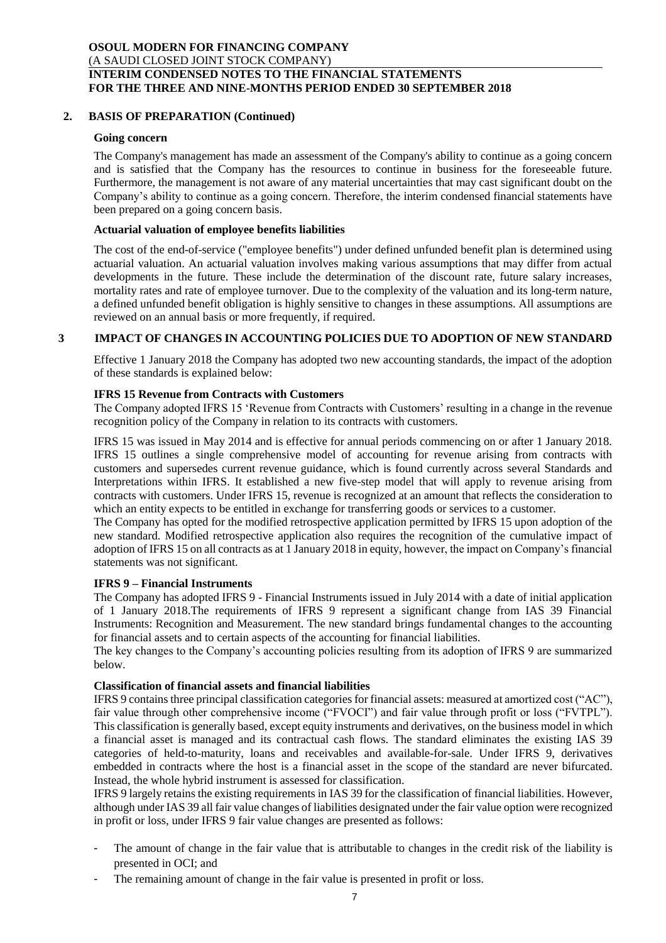# **2. BASIS OF PREPARATION (Continued)**

#### **Going concern**

The Company's management has made an assessment of the Company's ability to continue as a going concern and is satisfied that the Company has the resources to continue in business for the foreseeable future. Furthermore, the management is not aware of any material uncertainties that may cast significant doubt on the Company's ability to continue as a going concern. Therefore, the interim condensed financial statements have been prepared on a going concern basis.

#### **Actuarial valuation of employee benefits liabilities**

The cost of the end-of-service ("employee benefits") under defined unfunded benefit plan is determined using actuarial valuation. An actuarial valuation involves making various assumptions that may differ from actual developments in the future. These include the determination of the discount rate, future salary increases, mortality rates and rate of employee turnover. Due to the complexity of the valuation and its long-term nature, a defined unfunded benefit obligation is highly sensitive to changes in these assumptions. All assumptions are reviewed on an annual basis or more frequently, if required.

## **3 IMPACT OF CHANGES IN ACCOUNTING POLICIES DUE TO ADOPTION OF NEW STANDARD**

Effective 1 January 2018 the Company has adopted two new accounting standards, the impact of the adoption of these standards is explained below:

#### **IFRS 15 Revenue from Contracts with Customers**

The Company adopted IFRS 15 'Revenue from Contracts with Customers' resulting in a change in the revenue recognition policy of the Company in relation to its contracts with customers.

IFRS 15 was issued in May 2014 and is effective for annual periods commencing on or after 1 January 2018. IFRS 15 outlines a single comprehensive model of accounting for revenue arising from contracts with customers and supersedes current revenue guidance, which is found currently across several Standards and Interpretations within IFRS. It established a new five-step model that will apply to revenue arising from contracts with customers. Under IFRS 15, revenue is recognized at an amount that reflects the consideration to which an entity expects to be entitled in exchange for transferring goods or services to a customer.

The Company has opted for the modified retrospective application permitted by IFRS 15 upon adoption of the new standard. Modified retrospective application also requires the recognition of the cumulative impact of adoption of IFRS 15 on all contracts as at 1 January 2018 in equity, however, the impact on Company's financial statements was not significant.

#### **IFRS 9 – Financial Instruments**

The Company has adopted IFRS 9 - Financial Instruments issued in July 2014 with a date of initial application of 1 January 2018.The requirements of IFRS 9 represent a significant change from IAS 39 Financial Instruments: Recognition and Measurement. The new standard brings fundamental changes to the accounting for financial assets and to certain aspects of the accounting for financial liabilities.

The key changes to the Company's accounting policies resulting from its adoption of IFRS 9 are summarized below.

#### **Classification of financial assets and financial liabilities**

IFRS 9 contains three principal classification categories for financial assets: measured at amortized cost ("AC"), fair value through other comprehensive income ("FVOCI") and fair value through profit or loss ("FVTPL"). This classification is generally based, except equity instruments and derivatives, on the business model in which a financial asset is managed and its contractual cash flows. The standard eliminates the existing IAS 39 categories of held-to-maturity, loans and receivables and available-for-sale. Under IFRS 9, derivatives embedded in contracts where the host is a financial asset in the scope of the standard are never bifurcated. Instead, the whole hybrid instrument is assessed for classification.

IFRS 9 largely retains the existing requirements in IAS 39 for the classification of financial liabilities. However, although under IAS 39 all fair value changes of liabilities designated under the fair value option were recognized in profit or loss, under IFRS 9 fair value changes are presented as follows:

- The amount of change in the fair value that is attributable to changes in the credit risk of the liability is presented in OCI; and
- The remaining amount of change in the fair value is presented in profit or loss.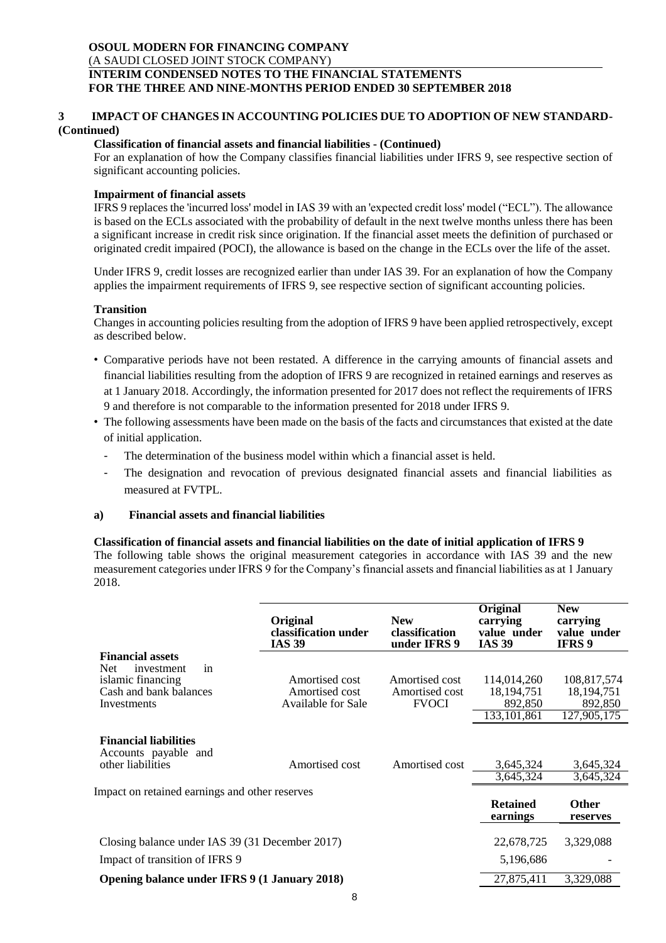### **3 IMPACT OF CHANGES IN ACCOUNTING POLICIES DUE TO ADOPTION OF NEW STANDARD- (Continued)**

### **Classification of financial assets and financial liabilities - (Continued)**

For an explanation of how the Company classifies financial liabilities under IFRS 9, see respective section of significant accounting policies.

### **Impairment of financial assets**

IFRS 9 replaces the 'incurred loss' model in IAS 39 with an 'expected credit loss' model ("ECL"). The allowance is based on the ECLs associated with the probability of default in the next twelve months unless there has been a significant increase in credit risk since origination. If the financial asset meets the definition of purchased or originated credit impaired (POCI), the allowance is based on the change in the ECLs over the life of the asset.

Under IFRS 9, credit losses are recognized earlier than under IAS 39. For an explanation of how the Company applies the impairment requirements of IFRS 9, see respective section of significant accounting policies.

#### **Transition**

Changes in accounting policies resulting from the adoption of IFRS 9 have been applied retrospectively, except as described below.

- Comparative periods have not been restated. A difference in the carrying amounts of financial assets and financial liabilities resulting from the adoption of IFRS 9 are recognized in retained earnings and reserves as at 1 January 2018. Accordingly, the information presented for 2017 does not reflect the requirements of IFRS 9 and therefore is not comparable to the information presented for 2018 under IFRS 9.
- The following assessments have been made on the basis of the facts and circumstances that existed at the date of initial application.
	- The determination of the business model within which a financial asset is held.
	- The designation and revocation of previous designated financial assets and financial liabilities as measured at FVTPL.

# **a) Financial assets and financial liabilities**

#### **Classification of financial assets and financial liabilities on the date of initial application of IFRS 9**

The following table shows the original measurement categories in accordance with IAS 39 and the new measurement categories under IFRS 9 for the Company's financial assets and financial liabilities as at 1 January 2018.

|                                                      | Original<br>classification under<br><b>IAS 39</b> | <b>New</b><br>classification<br>under IFRS 9 | <b>Original</b><br>carrying<br>value under<br><b>IAS 39</b> | <b>New</b><br>carrying<br>value under<br><b>IFRS</b> <sub>9</sub> |
|------------------------------------------------------|---------------------------------------------------|----------------------------------------------|-------------------------------------------------------------|-------------------------------------------------------------------|
| <b>Financial assets</b>                              |                                                   |                                              |                                                             |                                                                   |
| <b>Net</b><br>in<br>investment                       |                                                   |                                              |                                                             |                                                                   |
| islamic financing                                    | Amortised cost                                    | Amortised cost                               | 114,014,260                                                 | 108,817,574                                                       |
| Cash and bank balances                               | Amortised cost<br>Available for Sale              | Amortised cost<br><b>FVOCI</b>               | 18, 194, 751                                                | 18,194,751                                                        |
| Investments                                          |                                                   |                                              | 892,850<br>133, 101, 861                                    | 892,850<br>127,905,175                                            |
|                                                      |                                                   |                                              |                                                             |                                                                   |
| <b>Financial liabilities</b><br>Accounts payable and |                                                   |                                              |                                                             |                                                                   |
| other liabilities                                    | Amortised cost                                    | Amortised cost                               | 3,645,324                                                   | 3,645,324                                                         |
|                                                      |                                                   |                                              | 3,645,324                                                   | 3,645,324                                                         |
| Impact on retained earnings and other reserves       |                                                   |                                              |                                                             |                                                                   |
|                                                      |                                                   |                                              | <b>Retained</b><br>earnings                                 | <b>Other</b><br>reserves                                          |
| Closing balance under IAS 39 (31 December 2017)      |                                                   |                                              | 22,678,725                                                  | 3,329,088                                                         |
| Impact of transition of IFRS 9                       |                                                   |                                              | 5,196,686                                                   |                                                                   |
| Opening balance under IFRS 9 (1 January 2018)        |                                                   |                                              | 27,875,411                                                  | 3,329,088                                                         |
|                                                      |                                                   |                                              |                                                             |                                                                   |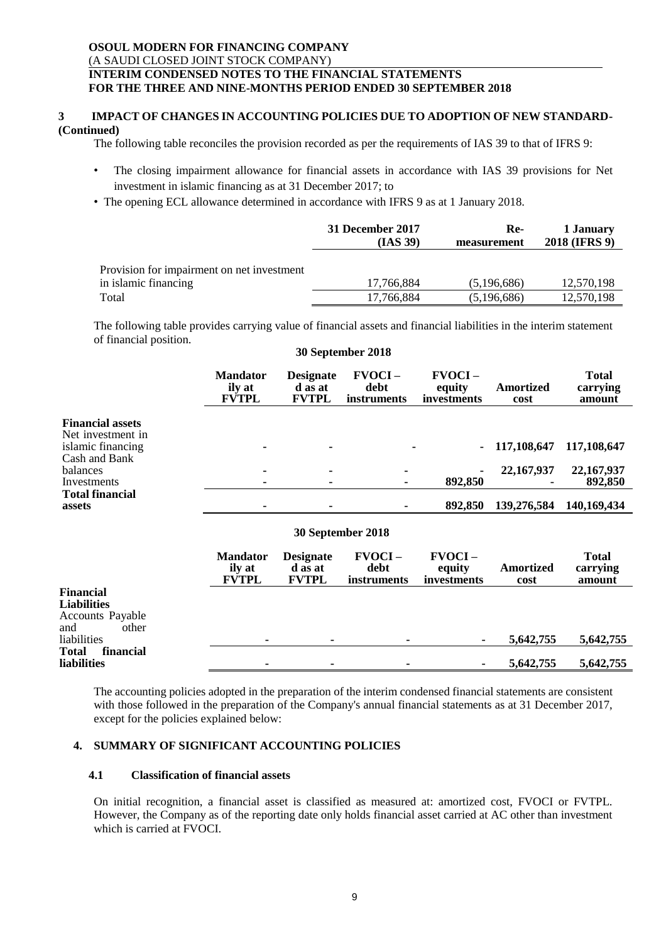#### **3 IMPACT OF CHANGES IN ACCOUNTING POLICIES DUE TO ADOPTION OF NEW STANDARD- (Continued)**

The following table reconciles the provision recorded as per the requirements of IAS 39 to that of IFRS 9:

- The closing impairment allowance for financial assets in accordance with IAS 39 provisions for Net investment in islamic financing as at 31 December 2017; to
- The opening ECL allowance determined in accordance with IFRS 9 as at 1 January 2018.

|                                                                             | 31 December 2017         | Re-                        | 1 January                |
|-----------------------------------------------------------------------------|--------------------------|----------------------------|--------------------------|
|                                                                             | (IAS 39)                 | measurement                | 2018 (IFRS 9)            |
| Provision for impairment on net investment<br>in islamic financing<br>Total | 17,766,884<br>17.766.884 | (5,196,686)<br>(5,196,686) | 12,570,198<br>12,570,198 |

The following table provides carrying value of financial assets and financial liabilities in the interim statement of financial position. **30 September 2018**

|                                                                   | <b>Mandator</b><br>ily at<br><b>FVTPL</b> | <b>Designate</b><br>d as at<br><b>FVTPL</b> | FVOCI-<br>debt<br>instruments    | <b>FVOCI-</b><br>equity<br>investments | Amortized<br>cost | <b>Total</b><br>carrying<br>amount |
|-------------------------------------------------------------------|-------------------------------------------|---------------------------------------------|----------------------------------|----------------------------------------|-------------------|------------------------------------|
| <b>Financial assets</b><br>Net investment in<br>islamic financing |                                           |                                             |                                  |                                        | 117,108,647       | 117,108,647                        |
| Cash and Bank<br>balances<br>Investments                          |                                           | $\blacksquare$                              |                                  | 892,850                                | 22,167,937        | 22, 167, 937<br>892,850            |
| <b>Total financial</b><br>assets                                  |                                           |                                             |                                  | 892,850                                | 139,276,584       | 140,169,434                        |
| 30 September 2018                                                 |                                           |                                             |                                  |                                        |                   |                                    |
|                                                                   | <b>Mandator</b><br>ily at<br><b>FVTPL</b> | <b>Designate</b><br>d as at<br><b>FVTPL</b> | $FVOCI -$<br>debt<br>instruments | <b>FVOCI-</b><br>equity<br>investments | Amortized<br>cost | <b>Total</b><br>carrying<br>amount |
| <b>Financial</b><br><b>Liabilities</b><br><b>Accounts Payable</b> |                                           |                                             |                                  |                                        |                   |                                    |
| other<br>and<br>liabilities                                       |                                           | ۰                                           |                                  |                                        | 5,642,755         | 5,642,755                          |
| financial<br><b>Total</b><br>liabilities                          |                                           |                                             |                                  |                                        | 5,642,755         | 5,642,755                          |

The accounting policies adopted in the preparation of the interim condensed financial statements are consistent with those followed in the preparation of the Company's annual financial statements as at 31 December 2017, except for the policies explained below:

# **4. SUMMARY OF SIGNIFICANT ACCOUNTING POLICIES**

### **4.1 Classification of financial assets**

On initial recognition, a financial asset is classified as measured at: amortized cost, FVOCI or FVTPL. However, the Company as of the reporting date only holds financial asset carried at AC other than investment which is carried at FVOCI.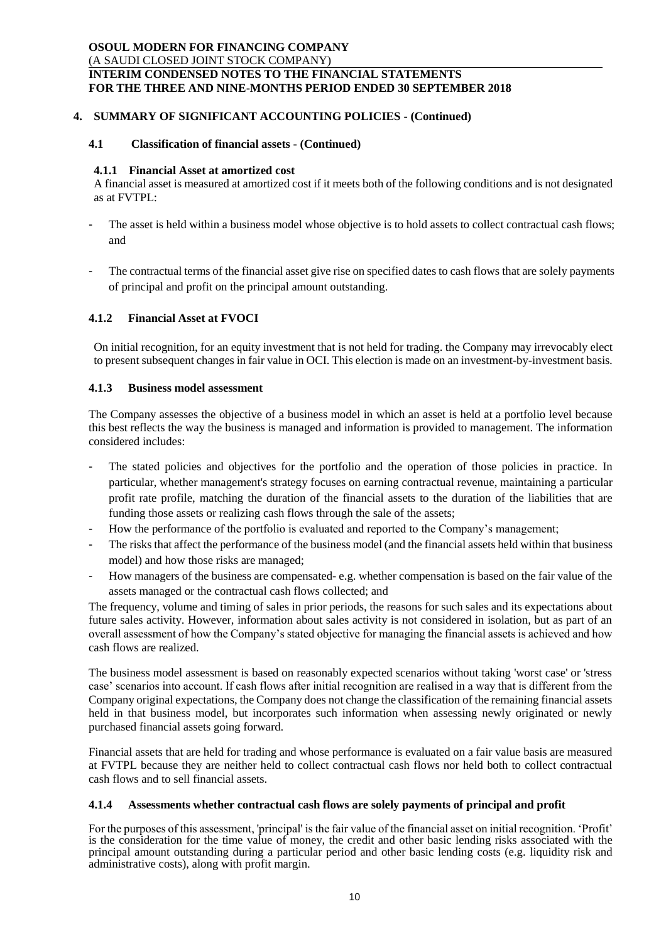# **4. SUMMARY OF SIGNIFICANT ACCOUNTING POLICIES - (Continued)**

# **4.1 Classification of financial assets - (Continued)**

#### **4.1.1 Financial Asset at amortized cost**

A financial asset is measured at amortized cost if it meets both of the following conditions and is not designated as at FVTPL:

- The asset is held within a business model whose objective is to hold assets to collect contractual cash flows; and
- The contractual terms of the financial asset give rise on specified dates to cash flows that are solely payments of principal and profit on the principal amount outstanding.

### **4.1.2 Financial Asset at FVOCI**

On initial recognition, for an equity investment that is not held for trading. the Company may irrevocably elect to present subsequent changes in fair value in OCI. This election is made on an investment-by-investment basis.

### **4.1.3 Business model assessment**

The Company assesses the objective of a business model in which an asset is held at a portfolio level because this best reflects the way the business is managed and information is provided to management. The information considered includes:

- The stated policies and objectives for the portfolio and the operation of those policies in practice. In particular, whether management's strategy focuses on earning contractual revenue, maintaining a particular profit rate profile, matching the duration of the financial assets to the duration of the liabilities that are funding those assets or realizing cash flows through the sale of the assets;
- How the performance of the portfolio is evaluated and reported to the Company's management;
- The risks that affect the performance of the business model (and the financial assets held within that business model) and how those risks are managed;
- How managers of the business are compensated- e.g. whether compensation is based on the fair value of the assets managed or the contractual cash flows collected; and

The frequency, volume and timing of sales in prior periods, the reasons for such sales and its expectations about future sales activity. However, information about sales activity is not considered in isolation, but as part of an overall assessment of how the Company's stated objective for managing the financial assets is achieved and how cash flows are realized.

The business model assessment is based on reasonably expected scenarios without taking 'worst case' or 'stress case' scenarios into account. If cash flows after initial recognition are realised in a way that is different from the Company original expectations, the Company does not change the classification of the remaining financial assets held in that business model, but incorporates such information when assessing newly originated or newly purchased financial assets going forward.

Financial assets that are held for trading and whose performance is evaluated on a fair value basis are measured at FVTPL because they are neither held to collect contractual cash flows nor held both to collect contractual cash flows and to sell financial assets.

#### **4.1.4 Assessments whether contractual cash flows are solely payments of principal and profit**

For the purposes of this assessment, 'principal' is the fair value of the financial asset on initial recognition. 'Profit' is the consideration for the time value of money, the credit and other basic lending risks associated with the principal amount outstanding during a particular period and other basic lending costs (e.g. liquidity risk and administrative costs), along with profit margin.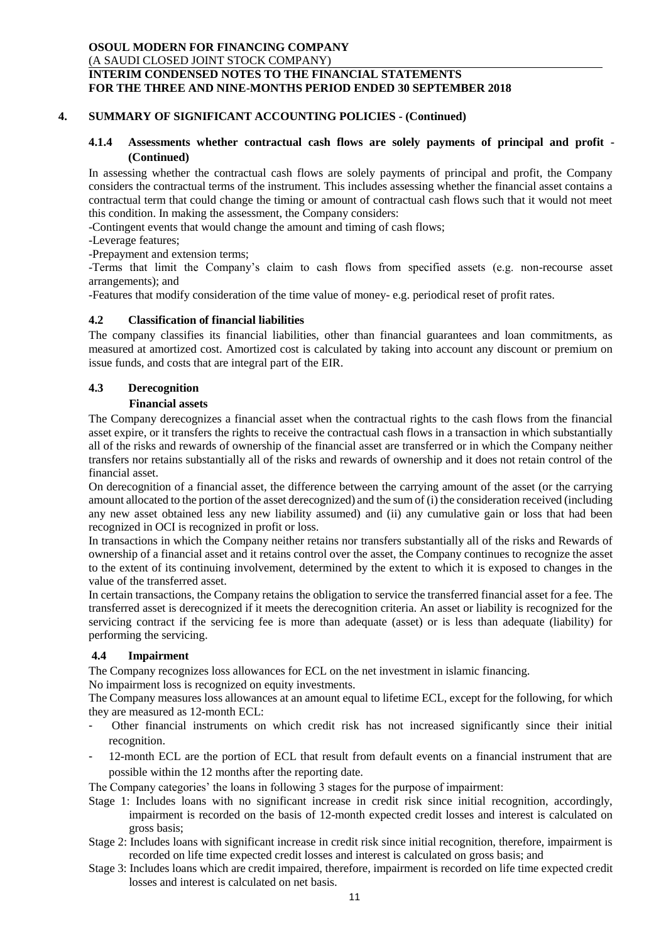## **4. SUMMARY OF SIGNIFICANT ACCOUNTING POLICIES - (Continued)**

### **4.1.4 Assessments whether contractual cash flows are solely payments of principal and profit - (Continued)**

In assessing whether the contractual cash flows are solely payments of principal and profit, the Company considers the contractual terms of the instrument. This includes assessing whether the financial asset contains a contractual term that could change the timing or amount of contractual cash flows such that it would not meet this condition. In making the assessment, the Company considers:

-Contingent events that would change the amount and timing of cash flows;

-Leverage features;

-Prepayment and extension terms;

-Terms that limit the Company's claim to cash flows from specified assets (e.g. non-recourse asset arrangements); and

-Features that modify consideration of the time value of money- e.g. periodical reset of profit rates.

#### **4.2 Classification of financial liabilities**

The company classifies its financial liabilities, other than financial guarantees and loan commitments, as measured at amortized cost. Amortized cost is calculated by taking into account any discount or premium on issue funds, and costs that are integral part of the EIR.

# **4.3 Derecognition**

#### **Financial assets**

The Company derecognizes a financial asset when the contractual rights to the cash flows from the financial asset expire, or it transfers the rights to receive the contractual cash flows in a transaction in which substantially all of the risks and rewards of ownership of the financial asset are transferred or in which the Company neither transfers nor retains substantially all of the risks and rewards of ownership and it does not retain control of the financial asset.

On derecognition of a financial asset, the difference between the carrying amount of the asset (or the carrying amount allocated to the portion of the asset derecognized) and the sum of (i) the consideration received (including any new asset obtained less any new liability assumed) and (ii) any cumulative gain or loss that had been recognized in OCI is recognized in profit or loss.

In transactions in which the Company neither retains nor transfers substantially all of the risks and Rewards of ownership of a financial asset and it retains control over the asset, the Company continues to recognize the asset to the extent of its continuing involvement, determined by the extent to which it is exposed to changes in the value of the transferred asset.

In certain transactions, the Company retains the obligation to service the transferred financial asset for a fee. The transferred asset is derecognized if it meets the derecognition criteria. An asset or liability is recognized for the servicing contract if the servicing fee is more than adequate (asset) or is less than adequate (liability) for performing the servicing.

#### **4.4 Impairment**

The Company recognizes loss allowances for ECL on the net investment in islamic financing.

No impairment loss is recognized on equity investments.

The Company measures loss allowances at an amount equal to lifetime ECL, except for the following, for which they are measured as 12-month ECL:

- Other financial instruments on which credit risk has not increased significantly since their initial recognition.
- 12-month ECL are the portion of ECL that result from default events on a financial instrument that are possible within the 12 months after the reporting date.

The Company categories' the loans in following 3 stages for the purpose of impairment:

- Stage 1: Includes loans with no significant increase in credit risk since initial recognition, accordingly, impairment is recorded on the basis of 12-month expected credit losses and interest is calculated on gross basis;
- Stage 2: Includes loans with significant increase in credit risk since initial recognition, therefore, impairment is recorded on life time expected credit losses and interest is calculated on gross basis; and
- Stage 3: Includes loans which are credit impaired, therefore, impairment is recorded on life time expected credit losses and interest is calculated on net basis.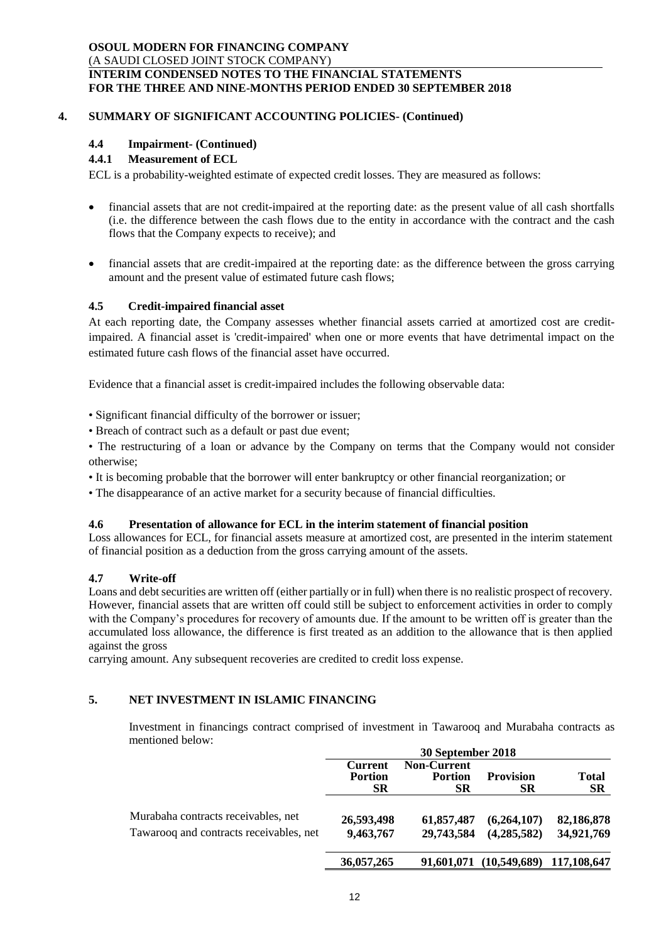# **4. SUMMARY OF SIGNIFICANT ACCOUNTING POLICIES- (Continued)**

# **4.4 Impairment- (Continued)**

# **4.4.1 Measurement of ECL**

ECL is a probability-weighted estimate of expected credit losses. They are measured as follows:

- financial assets that are not credit-impaired at the reporting date: as the present value of all cash shortfalls (i.e. the difference between the cash flows due to the entity in accordance with the contract and the cash flows that the Company expects to receive); and
- financial assets that are credit-impaired at the reporting date: as the difference between the gross carrying amount and the present value of estimated future cash flows;

# **4.5 Credit-impaired financial asset**

At each reporting date, the Company assesses whether financial assets carried at amortized cost are creditimpaired. A financial asset is 'credit-impaired' when one or more events that have detrimental impact on the estimated future cash flows of the financial asset have occurred.

Evidence that a financial asset is credit-impaired includes the following observable data:

• Significant financial difficulty of the borrower or issuer;

• Breach of contract such as a default or past due event;

• The restructuring of a loan or advance by the Company on terms that the Company would not consider otherwise;

- It is becoming probable that the borrower will enter bankruptcy or other financial reorganization; or
- The disappearance of an active market for a security because of financial difficulties.

#### **4.6 Presentation of allowance for ECL in the interim statement of financial position**

Loss allowances for ECL, for financial assets measure at amortized cost, are presented in the interim statement of financial position as a deduction from the gross carrying amount of the assets.

#### **4.7 Write-off**

Loans and debt securities are written off (either partially or in full) when there is no realistic prospect of recovery. However, financial assets that are written off could still be subject to enforcement activities in order to comply with the Company's procedures for recovery of amounts due. If the amount to be written off is greater than the accumulated loss allowance, the difference is first treated as an addition to the allowance that is then applied against the gross

carrying amount. Any subsequent recoveries are credited to credit loss expense.

# **5. NET INVESTMENT IN ISLAMIC FINANCING**

Investment in financings contract comprised of investment in Tawarooq and Murabaha contracts as mentioned below:

|                                                                                | 30 September 2018                             |                                            |                                     |                           |
|--------------------------------------------------------------------------------|-----------------------------------------------|--------------------------------------------|-------------------------------------|---------------------------|
|                                                                                | <b>Current</b><br><b>Portion</b><br><b>SR</b> | <b>Non-Current</b><br><b>Portion</b><br>SR | <b>Provision</b><br><b>SR</b>       | <b>Total</b><br><b>SR</b> |
| Murabaha contracts receivables, net<br>Tawarooq and contracts receivables, net | 26,593,498<br>9,463,767                       | 61,857,487<br>29,743,584                   | (6,264,107)<br>(4,285,582)          | 82,186,878<br>34,921,769  |
|                                                                                | 36,057,265                                    |                                            | 91,601,071 (10,549,689) 117,108,647 |                           |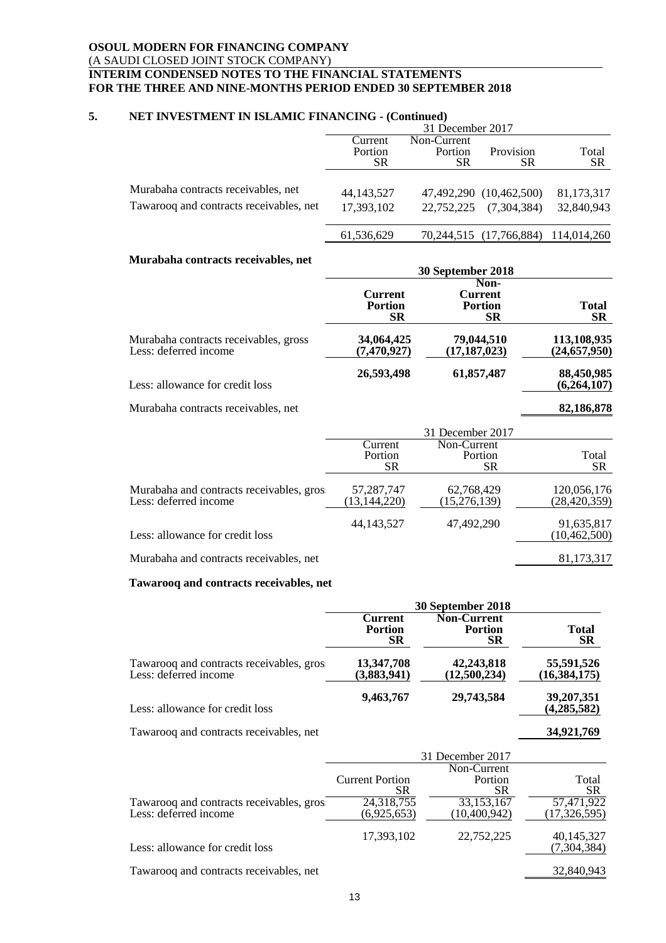## **5. NET INVESTMENT IN ISLAMIC FINANCING - (Continued)**

|                                                                                | 31 December 2017           |             |                                        |                          |
|--------------------------------------------------------------------------------|----------------------------|-------------|----------------------------------------|--------------------------|
|                                                                                | Current                    | Non-Current |                                        |                          |
|                                                                                | Portion                    | Portion     | Provision                              | Total                    |
|                                                                                | SR                         | SR.         | SR                                     | <b>SR</b>                |
| Murabaha contracts receivables, net<br>Tawarooq and contracts receivables, net | 44, 143, 527<br>17,393,102 | 22,752,225  | 47,492,290 (10,462,500)<br>(7,304,384) | 81,173,317<br>32,840,943 |
|                                                                                | 61,536,629                 |             | 70,244,515 (17,766,884)                | 114,014,260              |

#### **Murabaha contracts receivables, net**

| <u>iviui abana conti acts i eccivabics, net</u>                |                                        | 30 September 2018                       |                               |
|----------------------------------------------------------------|----------------------------------------|-----------------------------------------|-------------------------------|
|                                                                | Current<br><b>Portion</b><br><b>SR</b> | Non-<br>Current<br><b>Portion</b><br>SR | Total<br><b>SR</b>            |
| Murabaha contracts receivables, gross<br>Less: deferred income | 34,064,425<br>(7, 470, 927)            | 79,044,510<br>(17, 187, 023)            | 113,108,935<br>(24, 657, 950) |
| Less: allowance for credit loss                                | 26,593,498                             | 61,857,487                              | 88,450,985<br>(6,264,107)     |

Murabaha contracts receivables, net **82,186,878**

|                                                                    | 31 December 2017                |                                     |                               |
|--------------------------------------------------------------------|---------------------------------|-------------------------------------|-------------------------------|
|                                                                    | Current<br>Portion<br><b>SR</b> | Non-Current<br>Portion<br><b>SR</b> | Total<br><b>SR</b>            |
| Murabaha and contracts receivables, gros.<br>Less: deferred income | 57,287,747<br>(13, 144, 220)    | 62,768,429<br>(15, 276, 139)        | 120,056,176<br>(28, 420, 359) |
| Less: allowance for credit loss                                    | 44, 143, 527                    | 47,492,290                          | 91,635,817<br>(10, 462, 500)  |
| Murabaha and contracts receivables, net                            |                                 |                                     | 81,173,317                    |

#### **Tawarooq and contracts receivables, net**

|                                                                    | 30 September 2018                      |                                                   |                              |  |
|--------------------------------------------------------------------|----------------------------------------|---------------------------------------------------|------------------------------|--|
|                                                                    | Current<br><b>Portion</b><br><b>SR</b> | <b>Non-Current</b><br><b>Portion</b><br><b>SR</b> | Total<br><b>SR</b>           |  |
| Tawarooq and contracts receivables, gros.<br>Less: deferred income | 13,347,708<br>(3,883,941)              | 42,243,818<br>(12,500,234)                        | 55,591,526<br>(16, 384, 175) |  |
| Less: allowance for credit loss                                    | 9,463,767                              | 29,743,584                                        | 39,207,351<br>(4, 285, 582)  |  |
| Tawarooq and contracts receivables, net                            |                                        |                                                   | 34,921,769                   |  |

|                                           | 31 December 2017                           |                                            |                           |
|-------------------------------------------|--------------------------------------------|--------------------------------------------|---------------------------|
| Tawarooq and contracts receivables, gros. | <b>Current Portion</b><br>SR<br>24,318,755 | Non-Current<br>Portion<br>SR<br>33,153,167 | Total<br>SR<br>57,471,922 |
| Less: deferred income                     | (6,925,653)                                | (10, 400, 942)                             | (17, 326, 595)            |
| Less: allowance for credit loss           | 17,393,102                                 | 22,752,225                                 | 40,145,327<br>(7,304,384) |
| Tawarooq and contracts receivables, net   |                                            |                                            | 32,840,943                |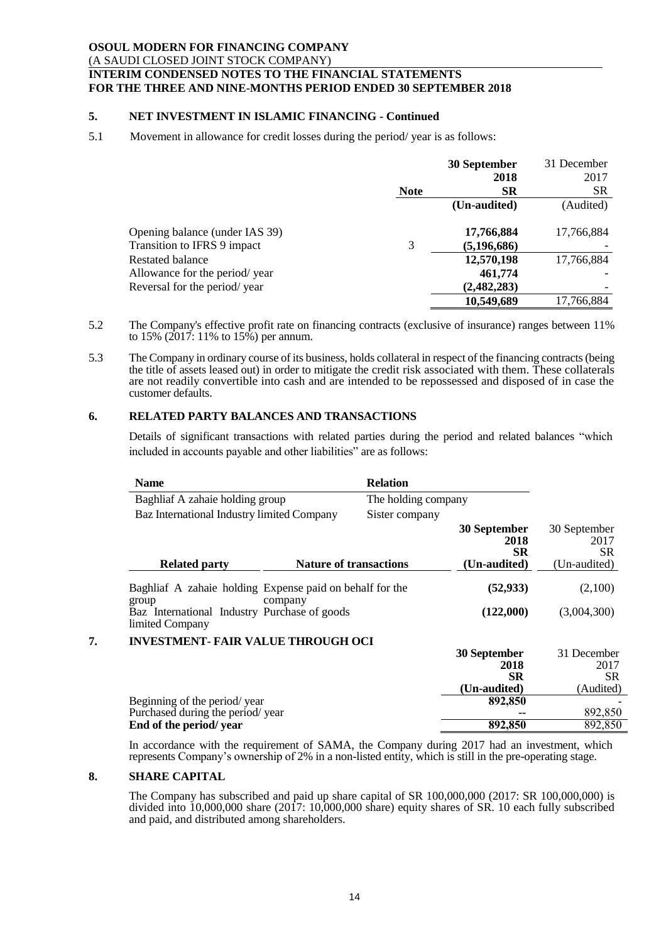# **5. NET INVESTMENT IN ISLAMIC FINANCING - Continued**

# 5.1 Movement in allowance for credit losses during the period/ year is as follows:

|                                |             | 30 September  | 31 December |
|--------------------------------|-------------|---------------|-------------|
|                                |             | 2018          | 2017        |
|                                | <b>Note</b> | <b>SR</b>     | <b>SR</b>   |
|                                |             | (Un-audited)  | (Audited)   |
| Opening balance (under IAS 39) |             | 17,766,884    | 17,766,884  |
| Transition to IFRS 9 impact    | 3           | (5, 196, 686) |             |
| <b>Restated balance</b>        |             | 12,570,198    | 17,766,884  |
| Allowance for the period/year  |             | 461,774       |             |
| Reversal for the period/year   |             | (2, 482, 283) |             |
|                                |             | 10,549,689    | 17,766,884  |

- 5.2 The Company's effective profit rate on financing contracts (exclusive of insurance) ranges between 11% to 15% (2017: 11% to 15%) per annum.
- 5.3 The Company in ordinary course of its business, holds collateral in respect of the financing contracts(being the title of assets leased out) in order to mitigate the credit risk associated with them. These collaterals are not readily convertible into cash and are intended to be repossessed and disposed of in case the customer defaults.

# **6. RELATED PARTY BALANCES AND TRANSACTIONS**

Details of significant transactions with related parties during the period and related balances "which included in accounts payable and other liabilities" are as follows:

| Name                                                              |                               | <b>Relation</b>     |                                                   |                                               |
|-------------------------------------------------------------------|-------------------------------|---------------------|---------------------------------------------------|-----------------------------------------------|
| Baghliaf A zahaie holding group                                   |                               | The holding company |                                                   |                                               |
| Baz International Industry limited Company                        |                               | Sister company      |                                                   |                                               |
|                                                                   |                               |                     | 30 September<br>2018<br><b>SR</b>                 | 30 September<br>2017<br><b>SR</b>             |
| <b>Related party</b>                                              | <b>Nature of transactions</b> |                     | (Un-audited)                                      | (Un-audited)                                  |
| Baghliaf A zahaie holding Expense paid on behalf for the<br>group | company                       |                     | (52, 933)                                         | (2,100)                                       |
| Baz International Industry Purchase of goods<br>limited Company   |                               |                     | (122,000)                                         | (3,004,300)                                   |
| <b>INVESTMENT- FAIR VALUE THROUGH OCI</b>                         |                               |                     |                                                   |                                               |
|                                                                   |                               |                     | 30 September<br>2018<br><b>SR</b><br>(Un-audited) | 31 December<br>2017<br><b>SR</b><br>(Audited) |
| Beginning of the period/year                                      |                               |                     | 892,850                                           |                                               |
| Purchased during the period/year                                  |                               |                     |                                                   | 892,850                                       |
| End of the period/year                                            |                               |                     | 892,850                                           | 892,850                                       |

In accordance with the requirement of SAMA, the Company during 2017 had an investment, which represents Company's ownership of 2% in a non-listed entity, which is still in the pre-operating stage.

#### **8. SHARE CAPITAL**

The Company has subscribed and paid up share capital of SR 100,000,000 (2017: SR 100,000,000) is divided into 10,000,000 share (2017: 10,000,000 share) equity shares of SR. 10 each fully subscribed and paid, and distributed among shareholders.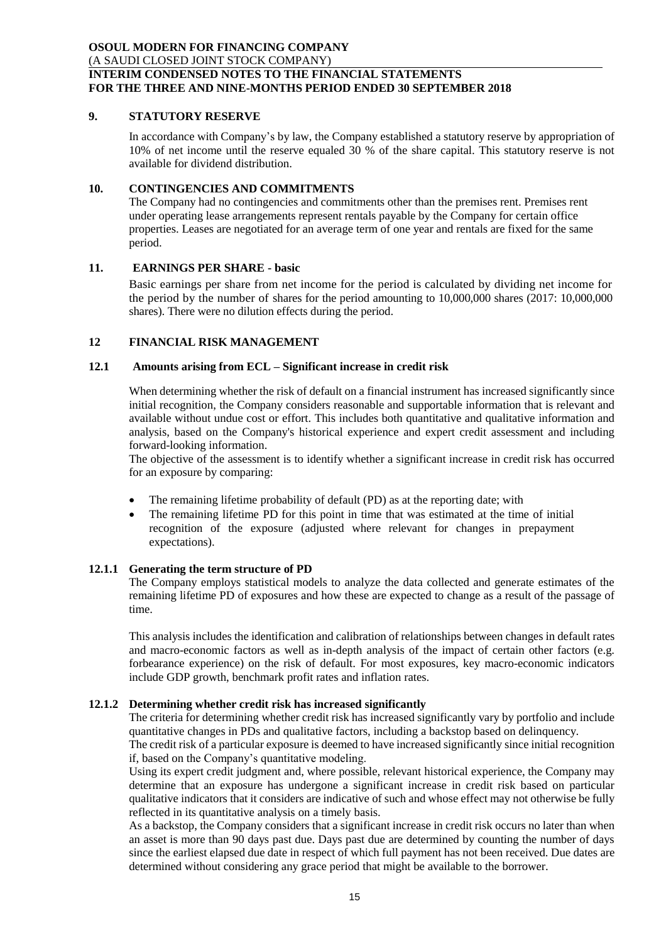# **9. STATUTORY RESERVE**

In accordance with Company's by law, the Company established a statutory reserve by appropriation of 10% of net income until the reserve equaled 30 % of the share capital. This statutory reserve is not available for dividend distribution.

# **10. CONTINGENCIES AND COMMITMENTS**

The Company had no contingencies and commitments other than the premises rent. Premises rent under operating lease arrangements represent rentals payable by the Company for certain office properties. Leases are negotiated for an average term of one year and rentals are fixed for the same period.

# **11. EARNINGS PER SHARE - basic**

Basic earnings per share from net income for the period is calculated by dividing net income for the period by the number of shares for the period amounting to 10,000,000 shares (2017: 10,000,000 shares). There were no dilution effects during the period.

# **12 FINANCIAL RISK MANAGEMENT**

### **12.1 Amounts arising from ECL – Significant increase in credit risk**

When determining whether the risk of default on a financial instrument has increased significantly since initial recognition, the Company considers reasonable and supportable information that is relevant and available without undue cost or effort. This includes both quantitative and qualitative information and analysis, based on the Company's historical experience and expert credit assessment and including forward-looking information.

The objective of the assessment is to identify whether a significant increase in credit risk has occurred for an exposure by comparing:

- The remaining lifetime probability of default (PD) as at the reporting date; with
- The remaining lifetime PD for this point in time that was estimated at the time of initial recognition of the exposure (adjusted where relevant for changes in prepayment expectations).

#### **12.1.1 Generating the term structure of PD**

The Company employs statistical models to analyze the data collected and generate estimates of the remaining lifetime PD of exposures and how these are expected to change as a result of the passage of time.

This analysis includes the identification and calibration of relationships between changes in default rates and macro-economic factors as well as in-depth analysis of the impact of certain other factors (e.g. forbearance experience) on the risk of default. For most exposures, key macro-economic indicators include GDP growth, benchmark profit rates and inflation rates.

# **12.1.2 Determining whether credit risk has increased significantly**

The criteria for determining whether credit risk has increased significantly vary by portfolio and include quantitative changes in PDs and qualitative factors, including a backstop based on delinquency.

The credit risk of a particular exposure is deemed to have increased significantly since initial recognition if, based on the Company's quantitative modeling.

Using its expert credit judgment and, where possible, relevant historical experience, the Company may determine that an exposure has undergone a significant increase in credit risk based on particular qualitative indicators that it considers are indicative of such and whose effect may not otherwise be fully reflected in its quantitative analysis on a timely basis.

As a backstop, the Company considers that a significant increase in credit risk occurs no later than when an asset is more than 90 days past due. Days past due are determined by counting the number of days since the earliest elapsed due date in respect of which full payment has not been received. Due dates are determined without considering any grace period that might be available to the borrower.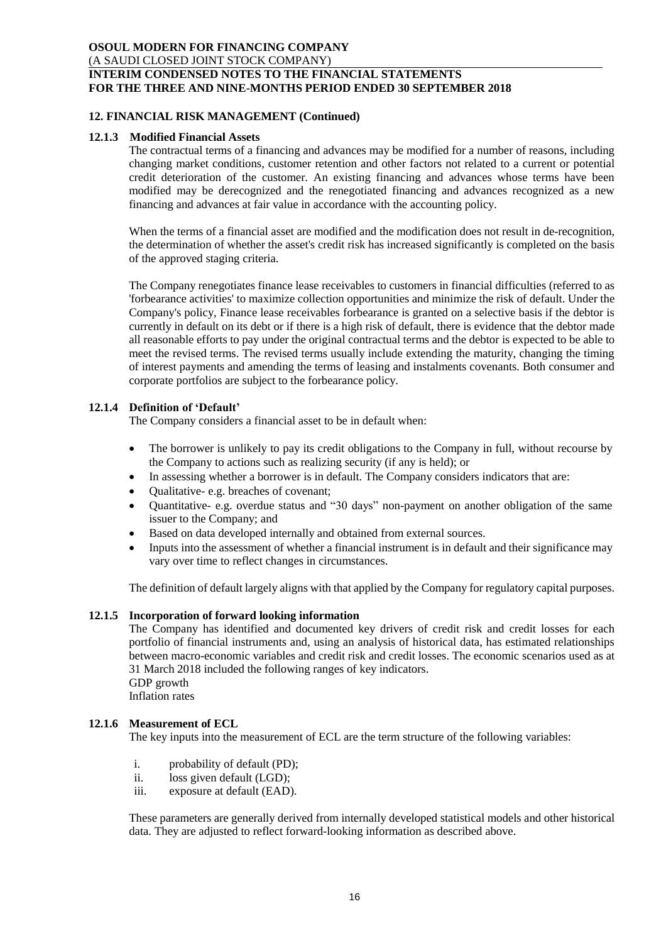# **12. FINANCIAL RISK MANAGEMENT (Continued)**

#### **12.1.3 Modified Financial Assets**

The contractual terms of a financing and advances may be modified for a number of reasons, including changing market conditions, customer retention and other factors not related to a current or potential credit deterioration of the customer. An existing financing and advances whose terms have been modified may be derecognized and the renegotiated financing and advances recognized as a new financing and advances at fair value in accordance with the accounting policy.

When the terms of a financial asset are modified and the modification does not result in de-recognition, the determination of whether the asset's credit risk has increased significantly is completed on the basis of the approved staging criteria.

The Company renegotiates finance lease receivables to customers in financial difficulties (referred to as 'forbearance activities' to maximize collection opportunities and minimize the risk of default. Under the Company's policy, Finance lease receivables forbearance is granted on a selective basis if the debtor is currently in default on its debt or if there is a high risk of default, there is evidence that the debtor made all reasonable efforts to pay under the original contractual terms and the debtor is expected to be able to meet the revised terms. The revised terms usually include extending the maturity, changing the timing of interest payments and amending the terms of leasing and instalments covenants. Both consumer and corporate portfolios are subject to the forbearance policy.

### **12.1.4 Definition of 'Default'**

The Company considers a financial asset to be in default when:

- The borrower is unlikely to pay its credit obligations to the Company in full, without recourse by the Company to actions such as realizing security (if any is held); or
- In assessing whether a borrower is in default. The Company considers indicators that are:
- Qualitative- e.g. breaches of covenant;
- Quantitative- e.g. overdue status and "30 days" non-payment on another obligation of the same issuer to the Company; and
- Based on data developed internally and obtained from external sources.
- Inputs into the assessment of whether a financial instrument is in default and their significance may vary over time to reflect changes in circumstances.

The definition of default largely aligns with that applied by the Company for regulatory capital purposes.

# **12.1.5 Incorporation of forward looking information**

The Company has identified and documented key drivers of credit risk and credit losses for each portfolio of financial instruments and, using an analysis of historical data, has estimated relationships between macro-economic variables and credit risk and credit losses. The economic scenarios used as at 31 March 2018 included the following ranges of key indicators. GDP growth Inflation rates

#### **12.1.6 Measurement of ECL**

The key inputs into the measurement of ECL are the term structure of the following variables:

- i. probability of default (PD);
- ii. loss given default (LGD);
- iii. exposure at default (EAD).

These parameters are generally derived from internally developed statistical models and other historical data. They are adjusted to reflect forward-looking information as described above.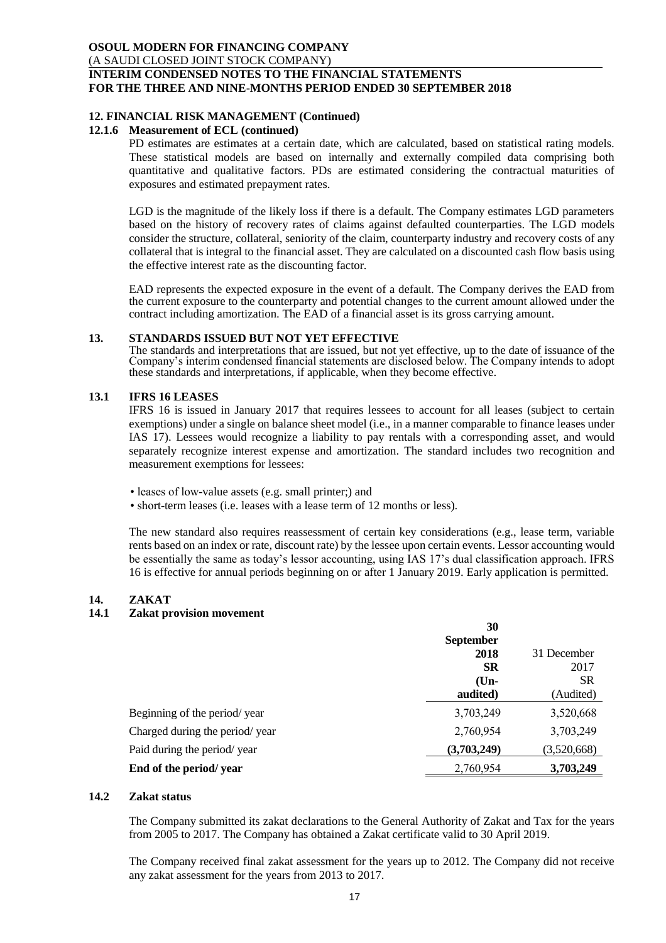### **12. FINANCIAL RISK MANAGEMENT (Continued)**

# **12.1.6 Measurement of ECL (continued)**

PD estimates are estimates at a certain date, which are calculated, based on statistical rating models. These statistical models are based on internally and externally compiled data comprising both quantitative and qualitative factors. PDs are estimated considering the contractual maturities of exposures and estimated prepayment rates.

LGD is the magnitude of the likely loss if there is a default. The Company estimates LGD parameters based on the history of recovery rates of claims against defaulted counterparties. The LGD models consider the structure, collateral, seniority of the claim, counterparty industry and recovery costs of any collateral that is integral to the financial asset. They are calculated on a discounted cash flow basis using the effective interest rate as the discounting factor.

EAD represents the expected exposure in the event of a default. The Company derives the EAD from the current exposure to the counterparty and potential changes to the current amount allowed under the contract including amortization. The EAD of a financial asset is its gross carrying amount.

### **13. STANDARDS ISSUED BUT NOT YET EFFECTIVE**

The standards and interpretations that are issued, but not yet effective, up to the date of issuance of the Company's interim condensed financial statements are disclosed below. The Company intends to adopt these standards and interpretations, if applicable, when they become effective.

# **13.1 IFRS 16 LEASES**

IFRS 16 is issued in January 2017 that requires lessees to account for all leases (subject to certain exemptions) under a single on balance sheet model (i.e., in a manner comparable to finance leases under IAS 17). Lessees would recognize a liability to pay rentals with a corresponding asset, and would separately recognize interest expense and amortization. The standard includes two recognition and measurement exemptions for lessees:

• leases of low-value assets (e.g. small printer;) and

• short-term leases (i.e. leases with a lease term of 12 months or less).

The new standard also requires reassessment of certain key considerations (e.g., lease term, variable rents based on an index or rate, discount rate) by the lessee upon certain events. Lessor accounting would be essentially the same as today's lessor accounting, using IAS 17's dual classification approach. IFRS 16 is effective for annual periods beginning on or after 1 January 2019. Early application is permitted.

# **14. ZAKAT**

# **14.1 Zakat provision movement**

|                                | 30               |             |
|--------------------------------|------------------|-------------|
|                                | <b>September</b> |             |
|                                | 2018             | 31 December |
|                                | <b>SR</b>        | 2017        |
|                                | $(Un-$           | <b>SR</b>   |
|                                | audited)         | (Audited)   |
| Beginning of the period/year   | 3,703,249        | 3,520,668   |
| Charged during the period/year | 2,760,954        | 3,703,249   |
| Paid during the period/year    | (3,703,249)      | (3,520,668) |
| End of the period/year         | 2,760,954        | 3,703,249   |

### **14.2 Zakat status**

The Company submitted its zakat declarations to the General Authority of Zakat and Tax for the years from 2005 to 2017. The Company has obtained a Zakat certificate valid to 30 April 2019.

The Company received final zakat assessment for the years up to 2012. The Company did not receive any zakat assessment for the years from 2013 to 2017.